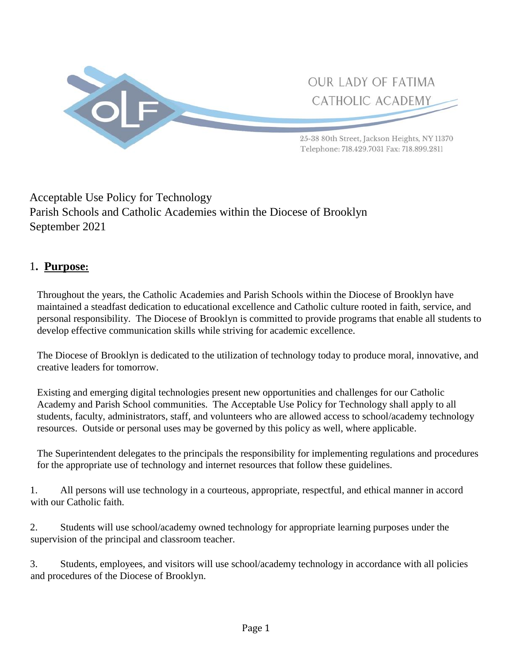

# Acceptable Use Policy for Technology Parish Schools and Catholic Academies within the Diocese of Brooklyn September 2021

# 1**. Purpose:**

 Throughout the years, the Catholic Academies and Parish Schools within the Diocese of Brooklyn have maintained a steadfast dedication to educational excellence and Catholic culture rooted in faith, service, and personal responsibility. The Diocese of Brooklyn is committed to provide programs that enable all students to develop effective communication skills while striving for academic excellence.

 The Diocese of Brooklyn is dedicated to the utilization of technology today to produce moral, innovative, and creative leaders for tomorrow.

 Existing and emerging digital technologies present new opportunities and challenges for our Catholic Academy and Parish School communities. The Acceptable Use Policy for Technology shall apply to all students, faculty, administrators, staff, and volunteers who are allowed access to school/academy technology resources. Outside or personal uses may be governed by this policy as well, where applicable.

 The Superintendent delegates to the principals the responsibility for implementing regulations and procedures for the appropriate use of technology and internet resources that follow these guidelines.

1. All persons will use technology in a courteous, appropriate, respectful, and ethical manner in accord with our Catholic faith.

2. Students will use school/academy owned technology for appropriate learning purposes under the supervision of the principal and classroom teacher.

3. Students, employees, and visitors will use school/academy technology in accordance with all policies and procedures of the Diocese of Brooklyn.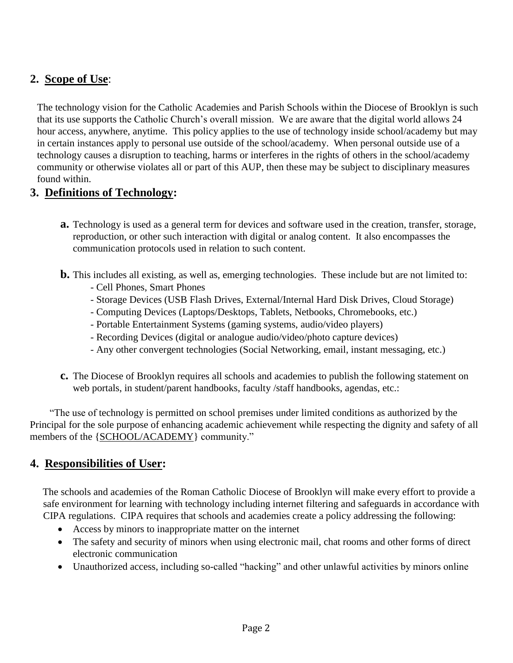# **2. Scope of Use**:

 The technology vision for the Catholic Academies and Parish Schools within the Diocese of Brooklyn is such that its use supports the Catholic Church's overall mission. We are aware that the digital world allows 24 hour access, anywhere, anytime. This policy applies to the use of technology inside school/academy but may in certain instances apply to personal use outside of the school/academy. When personal outside use of a technology causes a disruption to teaching, harms or interferes in the rights of others in the school/academy community or otherwise violates all or part of this AUP, then these may be subject to disciplinary measures found within.

## **3. Definitions of Technology:**

- **a.** Technology is used as a general term for devices and software used in the creation, transfer, storage, reproduction, or other such interaction with digital or analog content. It also encompasses the communication protocols used in relation to such content.
- **b.** This includes all existing, as well as, emerging technologies. These include but are not limited to:
	- Cell Phones, Smart Phones
	- Storage Devices (USB Flash Drives, External/Internal Hard Disk Drives, Cloud Storage)
	- Computing Devices (Laptops/Desktops, Tablets, Netbooks, Chromebooks, etc.)
	- Portable Entertainment Systems (gaming systems, audio/video players)
	- Recording Devices (digital or analogue audio/video/photo capture devices)
	- Any other convergent technologies (Social Networking, email, instant messaging, etc.)
- **c.** The Diocese of Brooklyn requires all schools and academies to publish the following statement on web portals, in student/parent handbooks, faculty /staff handbooks, agendas, etc.:

 "The use of technology is permitted on school premises under limited conditions as authorized by the Principal for the sole purpose of enhancing academic achievement while respecting the dignity and safety of all members of the {SCHOOL/ACADEMY} community."

# **4. Responsibilities of User:**

The schools and academies of the Roman Catholic Diocese of Brooklyn will make every effort to provide a safe environment for learning with technology including internet filtering and safeguards in accordance with CIPA regulations. CIPA requires that schools and academies create a policy addressing the following:

- Access by minors to inappropriate matter on the internet
- The safety and security of minors when using electronic mail, chat rooms and other forms of direct electronic communication
- Unauthorized access, including so-called "hacking" and other unlawful activities by minors online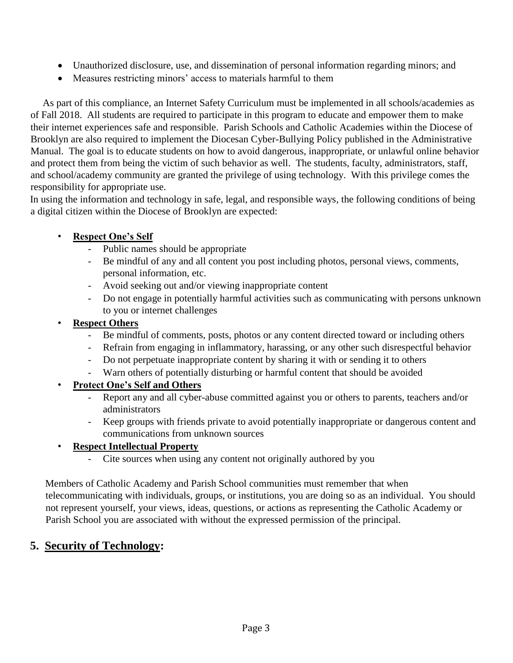- Unauthorized disclosure, use, and dissemination of personal information regarding minors; and
- Measures restricting minors' access to materials harmful to them

As part of this compliance, an Internet Safety Curriculum must be implemented in all schools/academies as of Fall 2018. All students are required to participate in this program to educate and empower them to make their internet experiences safe and responsible. Parish Schools and Catholic Academies within the Diocese of Brooklyn are also required to implement the Diocesan Cyber-Bullying Policy published in the Administrative Manual. The goal is to educate students on how to avoid dangerous, inappropriate, or unlawful online behavior and protect them from being the victim of such behavior as well. The students, faculty, administrators, staff, and school/academy community are granted the privilege of using technology. With this privilege comes the responsibility for appropriate use.

In using the information and technology in safe, legal, and responsible ways, the following conditions of being a digital citizen within the Diocese of Brooklyn are expected:

## • **Respect One's Self**

- Public names should be appropriate
- Be mindful of any and all content you post including photos, personal views, comments, personal information, etc.
- Avoid seeking out and/or viewing inappropriate content
- Do not engage in potentially harmful activities such as communicating with persons unknown to you or internet challenges

#### • **Respect Others**

- Be mindful of comments, posts, photos or any content directed toward or including others
- Refrain from engaging in inflammatory, harassing, or any other such disrespectful behavior
- Do not perpetuate inappropriate content by sharing it with or sending it to others
- Warn others of potentially disturbing or harmful content that should be avoided

## • **Protect One's Self and Others**

- Report any and all cyber-abuse committed against you or others to parents, teachers and/or administrators
- Keep groups with friends private to avoid potentially inappropriate or dangerous content and communications from unknown sources

## • **Respect Intellectual Property**

Cite sources when using any content not originally authored by you

Members of Catholic Academy and Parish School communities must remember that when telecommunicating with individuals, groups, or institutions, you are doing so as an individual. You should not represent yourself, your views, ideas, questions, or actions as representing the Catholic Academy or Parish School you are associated with without the expressed permission of the principal.

## **5. Security of Technology:**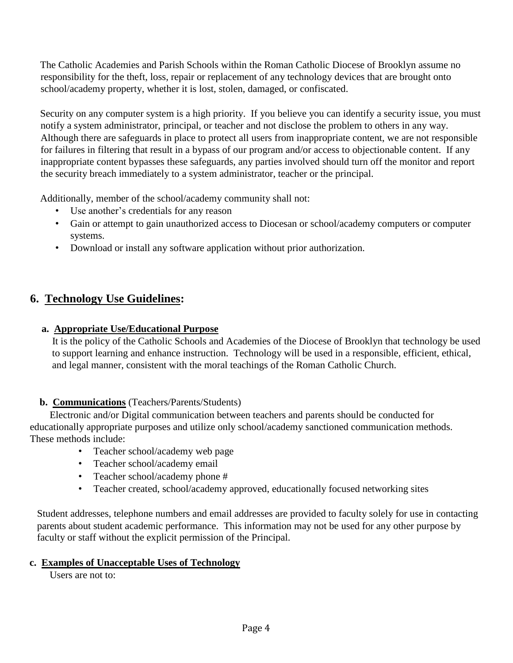The Catholic Academies and Parish Schools within the Roman Catholic Diocese of Brooklyn assume no responsibility for the theft, loss, repair or replacement of any technology devices that are brought onto school/academy property, whether it is lost, stolen, damaged, or confiscated.

Security on any computer system is a high priority. If you believe you can identify a security issue, you must notify a system administrator, principal, or teacher and not disclose the problem to others in any way. Although there are safeguards in place to protect all users from inappropriate content, we are not responsible for failures in filtering that result in a bypass of our program and/or access to objectionable content. If any inappropriate content bypasses these safeguards, any parties involved should turn off the monitor and report the security breach immediately to a system administrator, teacher or the principal.

Additionally, member of the school/academy community shall not:

- Use another's credentials for any reason
- Gain or attempt to gain unauthorized access to Diocesan or school/academy computers or computer systems.
- Download or install any software application without prior authorization.

## **6. Technology Use Guidelines:**

#### **a. Appropriate Use/Educational Purpose**

 It is the policy of the Catholic Schools and Academies of the Diocese of Brooklyn that technology be used to support learning and enhance instruction. Technology will be used in a responsible, efficient, ethical, and legal manner, consistent with the moral teachings of the Roman Catholic Church.

#### **b. Communications** (Teachers/Parents/Students)

 Electronic and/or Digital communication between teachers and parents should be conducted for educationally appropriate purposes and utilize only school/academy sanctioned communication methods. These methods include:

- Teacher school/academy web page
- Teacher school/academy email
- Teacher school/academy phone #
- Teacher created, school/academy approved, educationally focused networking sites

 Student addresses, telephone numbers and email addresses are provided to faculty solely for use in contacting parents about student academic performance. This information may not be used for any other purpose by faculty or staff without the explicit permission of the Principal.

#### **c. Examples of Unacceptable Uses of Technology**

Users are not to: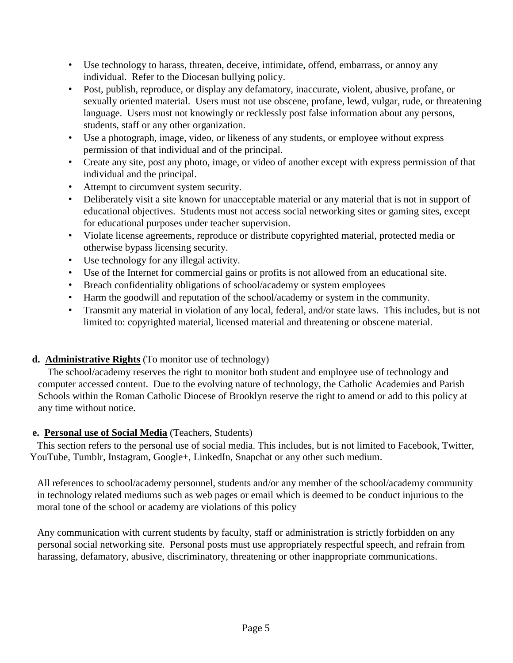- Use technology to harass, threaten, deceive, intimidate, offend, embarrass, or annoy any individual. Refer to the Diocesan bullying policy.
- Post, publish, reproduce, or display any defamatory, inaccurate, violent, abusive, profane, or sexually oriented material. Users must not use obscene, profane, lewd, vulgar, rude, or threatening language. Users must not knowingly or recklessly post false information about any persons, students, staff or any other organization.
- Use a photograph, image, video, or likeness of any students, or employee without express permission of that individual and of the principal.
- Create any site, post any photo, image, or video of another except with express permission of that individual and the principal.
- Attempt to circumvent system security.
- Deliberately visit a site known for unacceptable material or any material that is not in support of educational objectives. Students must not access social networking sites or gaming sites, except for educational purposes under teacher supervision.
- Violate license agreements, reproduce or distribute copyrighted material, protected media or otherwise bypass licensing security.
- Use technology for any illegal activity.
- Use of the Internet for commercial gains or profits is not allowed from an educational site.
- Breach confidentiality obligations of school/academy or system employees
- Harm the goodwill and reputation of the school/academy or system in the community.
- Transmit any material in violation of any local, federal, and/or state laws. This includes, but is not limited to: copyrighted material, licensed material and threatening or obscene material.

## **d. Administrative Rights** (To monitor use of technology)

 The school/academy reserves the right to monitor both student and employee use of technology and computer accessed content. Due to the evolving nature of technology, the Catholic Academies and Parish Schools within the Roman Catholic Diocese of Brooklyn reserve the right to amend or add to this policy at any time without notice.

## **e. Personal use of Social Media** (Teachers, Students)

 This section refers to the personal use of social media. This includes, but is not limited to Facebook, Twitter, YouTube, Tumblr, Instagram, Google+, LinkedIn, Snapchat or any other such medium.

 All references to school/academy personnel, students and/or any member of the school/academy community in technology related mediums such as web pages or email which is deemed to be conduct injurious to the moral tone of the school or academy are violations of this policy

Any communication with current students by faculty, staff or administration is strictly forbidden on any personal social networking site. Personal posts must use appropriately respectful speech, and refrain from harassing, defamatory, abusive, discriminatory, threatening or other inappropriate communications.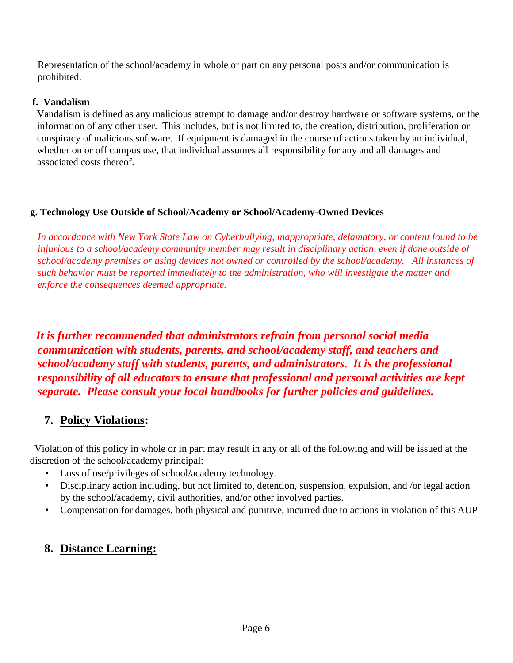Representation of the school/academy in whole or part on any personal posts and/or communication is prohibited.

### **f. Vandalism**

 Vandalism is defined as any malicious attempt to damage and/or destroy hardware or software systems, or the information of any other user. This includes, but is not limited to, the creation, distribution, proliferation or conspiracy of malicious software. If equipment is damaged in the course of actions taken by an individual, whether on or off campus use, that individual assumes all responsibility for any and all damages and associated costs thereof.

## **g. Technology Use Outside of School/Academy or School/Academy-Owned Devices**

 *In accordance with New York State Law on Cyberbullying, inappropriate, defamatory, or content found to be injurious to a school/academy community member may result in disciplinary action, even if done outside of school/academy premises or using devices not owned or controlled by the school/academy. All instances of such behavior must be reported immediately to the administration, who will investigate the matter and enforce the consequences deemed appropriate.*

*It is further recommended that administrators refrain from personal social media communication with students, parents, and school/academy staff, and teachers and school/academy staff with students, parents, and administrators. It is the professional responsibility of all educators to ensure that professional and personal activities are kept separate. Please consult your local handbooks for further policies and guidelines.* 

# **7. Policy Violations:**

 Violation of this policy in whole or in part may result in any or all of the following and will be issued at the discretion of the school/academy principal:

- Loss of use/privileges of school/academy technology.
- Disciplinary action including, but not limited to, detention, suspension, expulsion, and /or legal action by the school/academy, civil authorities, and/or other involved parties.
- Compensation for damages, both physical and punitive, incurred due to actions in violation of this AUP

# **8. Distance Learning:**